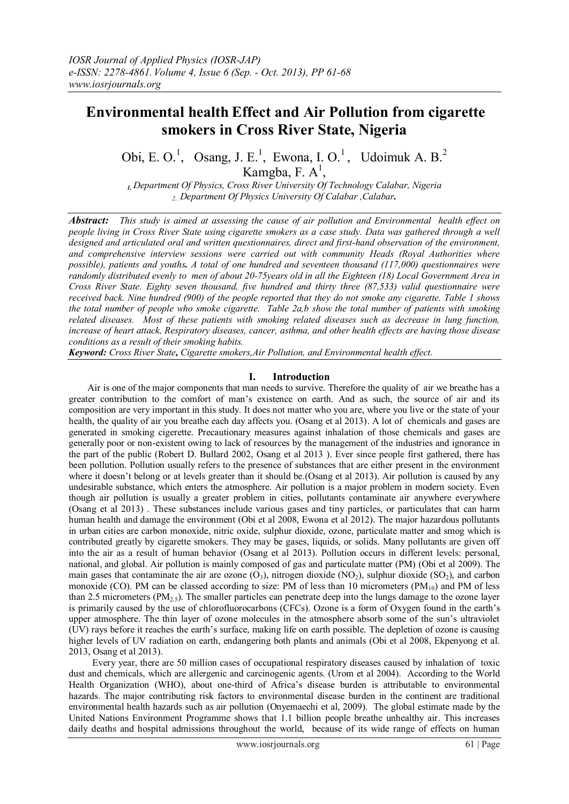# **Environmental health Effect and Air Pollution from cigarette smokers in Cross River State, Nigeria**

Obi, E. O.<sup>1</sup>, Osang, J. E.<sup>1</sup>, Ewona, I. O.<sup>1</sup>, Udoimuk A. B.<sup>2</sup>

Kamgba, F.  $A^1$ ,

*1. Department Of Physics, Cross River University Of Technology Calabar, Nigeria 2. .Department Of Physics University Of Calabar ,Calabar.*

*Abstract: This study is aimed at assessing the cause of air pollution and Environmental health effect on people living in Cross River State using cigarette smokers as a case study. Data was gathered through a well designed and articulated oral and written questionnaires, direct and first-hand observation of the environment, and comprehensive interview sessions were carried out with community Heads (Royal Authorities where possible), patients and youths. A total of one hundred and seventeen thousand (117,000) questionnaires were randomly distributed evenly to men of about 20-75years old in all the Eighteen (18) Local Government Area in Cross River State. Eighty seven thousand, five hundred and thirty three (87,533) valid questionnaire were received back. Nine hundred (900) of the people reported that they do not smoke any cigarette. Table 1 shows the total number of people who smoke cigarette. Table 2a,b show the total number of patients with smoking related diseases. Most of these patients with smoking related diseases such as decrease in lung function, increase of heart attack, Respiratory diseases, cancer, asthma, and other health effects are having those disease conditions as a result of their smoking habits.*

*Keyword: Cross River State, Cigarette smokers,Air Pollution, and Environmental health effect.*

# **I. Introduction**

 Air is one of the major components that man needs to survive. Therefore the quality of air we breathe has a greater contribution to the comfort of man's existence on earth. And as such, the source of air and its composition are very important in this study. It does not matter who you are, where you live or the state of your health, the quality of air you breathe each day affects you. (Osang et al 2013). A lot of chemicals and gases are generated in smoking cigerette. Precautionary measures against inhalation of those chemicals and gases are generally poor or non-existent owing to lack of resources by the management of the industries and ignorance in the part of the public (Robert D. Bullard 2002, Osang et al 2013 ). Ever since people first gathered, there has been pollution. Pollution usually refers to the presence of substances that are either present in the environment where it doesn't belong or at levels greater than it should be. (Osang et al 2013). Air pollution is caused by any undesirable substance, which enters the atmosphere. Air pollution is a major problem in modern society. Even though air pollution is usually a greater problem in cities, pollutants contaminate air anywhere everywhere (Osang et al 2013) . These substances include various gases and tiny particles, or particulates that can harm human health and damage the environment (Obi et al 2008, Ewona et al 2012). The major hazardous pollutants in urban cities are carbon monoxide, nitric oxide, sulphur dioxide, ozone, particulate matter and smog which is contributed greatly by cigarette smokers. They may be gases, liquids, or solids. Many pollutants are given off into the air as a result of human behavior (Osang et al 2013). Pollution occurs in different levels: personal, national, and global. Air pollution is mainly composed of gas and particulate matter (PM) (Obi et al 2009). The main gases that contaminate the air are ozone  $(O_3)$ , nitrogen dioxide  $(NO_2)$ , sulphur dioxide  $(SO_2)$ , and carbon monoxide (CO). PM can be classed according to size: PM of less than 10 micrometers  $(PM_{10})$  and PM of less than 2.5 micrometers  $(PM_{2.5})$ . The smaller particles can penetrate deep into the lungs damage to the ozone layer is primarily caused by the use of chlorofluorocarbons (CFCs). Ozone is a form of Oxygen found in the earth's upper atmosphere. The thin layer of ozone molecules in the atmosphere absorb some of the sun's ultraviolet (UV) rays before it reaches the earth's surface, making life on earth possible. The depletion of ozone is causing higher levels of UV radiation on earth, endangering both plants and animals (Obi et al 2008, Ekpenyong et al. 2013, Osang et al 2013).

 Every year, there are 50 million cases of occupational respiratory diseases caused by inhalation of toxic dust and chemicals, which are allergenic and carcinogenic agents. (Urom et al 2004). According to the World Health Organization (WHO), about one-third of Africa's disease burden is attributable to environmental hazards. The major contributing risk factors to environmental disease burden in the continent are traditional environmental health hazards such as air pollution (Onyemaechi et al, 2009).The global estimate made by the United Nations Environment Programme shows that 1.1 billion people breathe unhealthy air. This increases daily deaths and hospital admissions throughout the world, because of its wide range of effects on human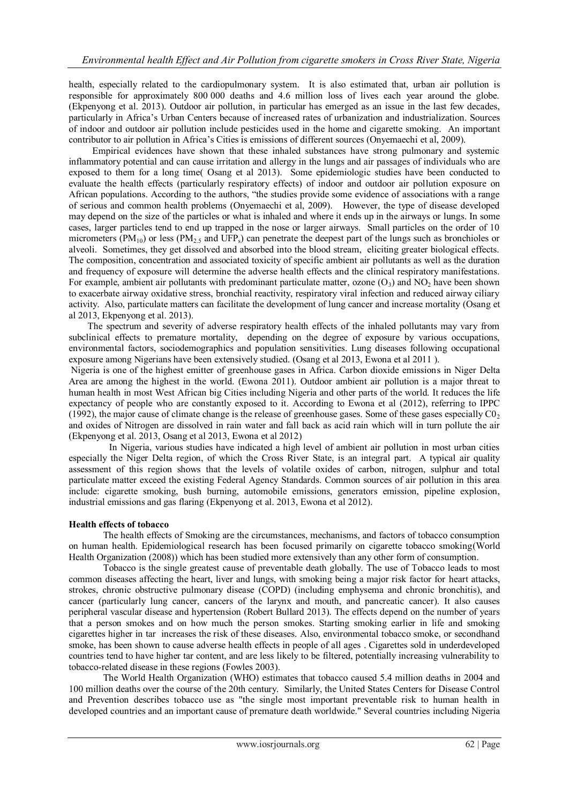health, especially related to the cardiopulmonary system. It is also estimated that, urban air pollution is responsible for approximately 800 000 deaths and 4.6 million loss of lives each year around the globe. (Ekpenyong et al. 2013). Outdoor air pollution, in particular has emerged as an issue in the last few decades, particularly in Africa's Urban Centers because of increased rates of urbanization and industrialization. Sources of indoor and outdoor air pollution include pesticides used in the home and cigarette smoking. An important contributor to air pollution in Africa's Cities is emissions of different sources (Onyemaechi et al, 2009).

Empirical evidences have shown that these inhaled substances have strong pulmonary and systemic inflammatory potential and can cause irritation and allergy in the lungs and air passages of individuals who are exposed to them for a long time( Osang et al 2013). Some epidemiologic studies have been conducted to evaluate the health effects (particularly respiratory effects) of indoor and outdoor air pollution exposure on African populations. According to the authors, "the studies provide some evidence of associations with a range of serious and common health problems (Onyemaechi et al, 2009). However, the type of disease developed may depend on the size of the particles or what is inhaled and where it ends up in the airways or lungs. In some cases, larger particles tend to end up trapped in the nose or larger airways. Small particles on the order of 10 micrometers (PM<sub>10</sub>) or less (PM<sub>2.5</sub> and UFP<sub>s</sub>) can penetrate the deepest part of the lungs such as bronchioles or alveoli. Sometimes, they get dissolved and absorbed into the blood stream, eliciting greater biological effects. The composition, concentration and associated toxicity of specific ambient air pollutants as well as the duration and frequency of exposure will determine the adverse health effects and the clinical respiratory manifestations. For example, ambient air pollutants with predominant particulate matter, ozone  $(O_3)$  and  $NO_2$  have been shown to exacerbate airway oxidative stress, bronchial reactivity, respiratory viral infection and reduced airway ciliary activity. Also, particulate matters can facilitate the development of lung cancer and increase mortality (Osang et al 2013, Ekpenyong et al. 2013).

 The spectrum and severity of adverse respiratory health effects of the inhaled pollutants may vary from subclinical effects to premature mortality, depending on the degree of exposure by various occupations, environmental factors, sociodemographics and population sensitivities. Lung diseases following occupational exposure among Nigerians have been extensively studied. (Osang et al 2013, Ewona et al 2011 ).

Nigeria is one of the highest emitter of greenhouse gases in Africa. Carbon dioxide emissions in Niger Delta Area are among the highest in the world. (Ewona 2011). Outdoor ambient air pollution is a major threat to human health in most West African big Cities including Nigeria and other parts of the world. It reduces the life expectancy of people who are constantly exposed to it. According to Ewona et al (2012), referring to IPPC (1992), the major cause of climate change is the release of greenhouse gases. Some of these gases especially  $\text{CO}_2$ and oxides of Nitrogen are dissolved in rain water and fall back as acid rain which will in turn pollute the air (Ekpenyong et al. 2013, Osang et al 2013, Ewona et al 2012)

In Nigeria, various studies have indicated a high level of ambient air pollution in most urban cities especially the Niger Delta region, of which the Cross River State, is an integral part. A typical air quality assessment of this region shows that the levels of volatile oxides of carbon, nitrogen, sulphur and total particulate matter exceed the existing Federal Agency Standards. Common sources of air pollution in this area include: cigarette smoking, bush burning, automobile emissions, generators emission, pipeline explosion, industrial emissions and gas flaring (Ekpenyong et al. 2013, Ewona et al 2012).

# **Health effects of tobacco**

The health effects of Smoking are the circumstances, mechanisms, and factors of tobacco consumption on human health. Epidemiological research has been focused primarily on cigarette tobacco smoking(World Health Organization (2008)) which has been studied more extensively than any other form of consumption.

Tobacco is the single greatest cause of preventable death globally. The use of Tobacco leads to most common diseases affecting the heart, liver and lungs, with smoking being a major risk factor for [heart attacks,](http://en.wikipedia.org/wiki/Myocardial_infarction) [strokes,](http://en.wikipedia.org/wiki/Stroke) [chronic obstructive pulmonary disease](http://en.wikipedia.org/wiki/Chronic_obstructive_pulmonary_disease) (COPD) (including [emphysema](http://en.wikipedia.org/wiki/Emphysema) and [chronic bronchitis\)](http://en.wikipedia.org/wiki/Chronic_bronchitis), and [cancer](http://en.wikipedia.org/wiki/Cancer) (particularly [lung cancer,](http://en.wikipedia.org/wiki/Lung_cancer) [cancers of the larynx and mouth,](http://en.wikipedia.org/wiki/Laryngeal_cancer) and [pancreatic cancer\)](http://en.wikipedia.org/wiki/Pancreatic_cancer). It also causes peripheral vascular disease and [hypertension](http://en.wikipedia.org/wiki/Hypertension) (Robert Bullard 2013). The effects depend on the number of years that a person smokes and on how much the person smokes. Starting smoking earlier in life and smoking cigarettes higher in [tar](http://en.wikipedia.org/wiki/Tar_%28tobacco_residue%29) increases the risk of these diseases. Also, environmental tobacco smoke, or secondhand smoke, has been shown to cause adverse health effects in people of all ages . Cigarettes sold in [underdeveloped](http://en.wikipedia.org/wiki/Underdeveloped_country)  [countries](http://en.wikipedia.org/wiki/Underdeveloped_country) tend to have higher tar content, and are less likely to be filtered, potentially increasing vulnerability to tobacco-related disease in these regions (Fowles 2003).

The [World Health Organization](http://en.wikipedia.org/wiki/World_Health_Organization) (WHO) estimates that tobacco caused 5.4 million deaths in 2004 and 100 million deaths over the course of the 20th century. Similarly, the United States [Centers for Disease Control](http://en.wikipedia.org/wiki/Centers_for_Disease_Control_and_Prevention)  [and Prevention](http://en.wikipedia.org/wiki/Centers_for_Disease_Control_and_Prevention) describes tobacco use as "the single most important preventable risk to human health in developed countries and an important cause of premature death worldwide." Several countries including Nigeria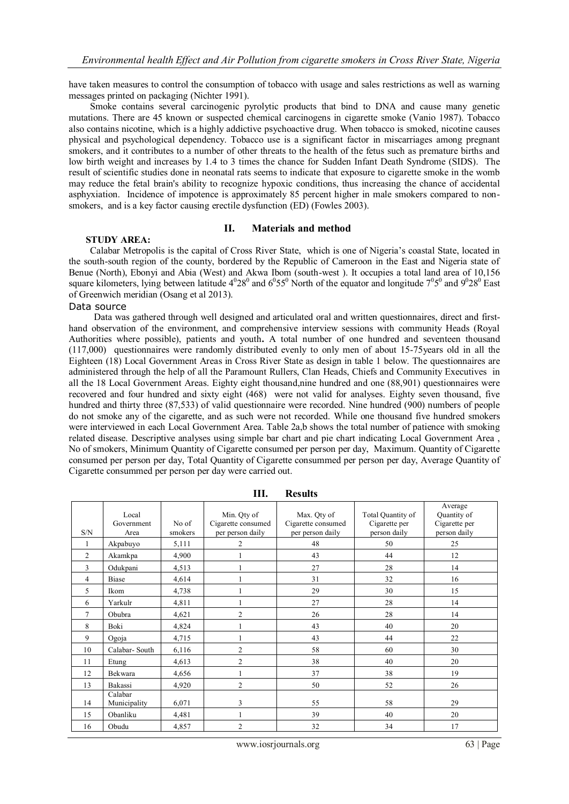have taken measures to control the consumption of tobacco with usage and sales restrictions as well as [warning](http://en.wikipedia.org/wiki/Tobacco_packaging_warning_messages)  [messages](http://en.wikipedia.org/wiki/Tobacco_packaging_warning_messages) printed on packaging (Nichter 1991).

 Smoke contains several carcinogenic pyrolytic products that bind to DNA and cause many [genetic](http://en.wikipedia.org/wiki/Genetic_mutation)  [mutations.](http://en.wikipedia.org/wiki/Genetic_mutation) There are 45 known or suspected chemical [carcinogens](http://en.wikipedia.org/wiki/Carcinogen) in cigarette smoke (Vanio 1987). Tobacco also contains [nicotine,](http://en.wikipedia.org/wiki/Nicotine) which is a highly addictive [psychoactive drug.](http://en.wikipedia.org/wiki/Psychoactive_drug) When tobacco is smoked, nicotine causes physical and psychological dependency. Tobacco use is a significant factor in miscarriages among pregnant smokers, and it contributes to a number of other threats to the health of the fetus such as premature births and low birth weight and increases by 1.4 to 3 times the chance for [Sudden Infant Death Syndrome \(SIDS\).](http://en.wikipedia.org/wiki/Sudden_infant_death_syndrome) The result of scientific studies done in neonatal rats seems to indicate that exposure to cigarette smoke in the womb may reduce the fetal brain's ability to recognize [hypoxic](http://en.wikipedia.org/wiki/Hypoxia_%28medical%29) conditions, thus increasing the chance of accidental [asphyxiation.](http://en.wikipedia.org/wiki/Asphyxia) Incidence of [impotence](http://en.wikipedia.org/wiki/Erectile_dysfunction) is approximately 85 percent higher in male smokers compared to nonsmokers, and is a key factor causin[g erectile dysfunction](http://en.wikipedia.org/wiki/Erectile_dysfunction) (ED) (Fowles 2003).

### **II. Materials and method**

### **STUDY AREA:**

Calabar Metropolis is the capital of Cross River State, which is one of Nigeria's coastal State, located in the south-south region of the county, bordered by the Republic of Cameroon in the East and Nigeria state of Benue (North), Ebonyi and Abia (West) and Akwa Ibom (south-west ). It occupies a total land area of 10,156 square kilometers, lying between latitude  $4^028^0$  and  $6^055^0$  North of the equator and longitude  $7^05^0$  and  $9^028^0$  East of Greenwich meridian (Osang et al 2013).

#### Data source

Data was gathered through well designed and articulated oral and written questionnaires, direct and firsthand observation of the environment, and comprehensive interview sessions with community Heads (Royal Authorities where possible), patients and youth**.** A total number of one hundred and seventeen thousand (117,000) questionnaires were randomly distributed evenly to only men of about 15-75years old in all the Eighteen (18) Local Government Areas in Cross River State as design in table 1 below. The questionnaires are administered through the help of all the Paramount Rullers, Clan Heads, Chiefs and Community Executives in all the 18 Local Government Areas. Eighty eight thousand,nine hundred and one (88,901) questionnaires were recovered and four hundred and sixty eight (468) were not valid for analyses. Eighty seven thousand, five hundred and thirty three (87,533) of valid questionnaire were recorded. Nine hundred (900) numbers of people do not smoke any of the cigarette, and as such were not recorded. While one thousand five hundred smokers were interviewed in each Local Government Area. Table 2a,b shows the total number of patience with smoking related disease. Descriptive analyses using simple bar chart and pie chart indicating Local Government Area , No of smokers, Minimum Quantity of Cigarette consumed per person per day, Maximum. Quantity of Cigarette consumed per person per day, Total Quantity of Cigarette consummed per person per day, Average Quantity of Cigarette consummed per person per day were carried out.

| S/N            | Local<br>Government<br>Area | No of<br>smokers | Min. Qty of<br>Cigarette consumed<br>per person daily | Max. Qty of<br>Cigarette consumed<br>per person daily | Total Quantity of<br>Cigarette per<br>person daily | Average<br>Quantity of<br>Cigarette per<br>person daily |
|----------------|-----------------------------|------------------|-------------------------------------------------------|-------------------------------------------------------|----------------------------------------------------|---------------------------------------------------------|
|                | Akpabuyo                    | 5,111            | $\overline{c}$                                        | 48                                                    | 50                                                 | 25                                                      |
| $\overline{2}$ | Akamkpa                     | 4,900            |                                                       | 43                                                    | 44                                                 | 12                                                      |
| 3              | Odukpani                    | 4,513            |                                                       | 27                                                    | 28                                                 | 14                                                      |
| 4              | Biase                       | 4,614            |                                                       | 31                                                    | 32                                                 | 16                                                      |
| 5              | Ikom                        | 4,738            |                                                       | 29                                                    | 30                                                 | 15                                                      |
| 6              | Yarkulr                     | 4,811            |                                                       | 27                                                    | 28                                                 | 14                                                      |
| 7              | Obubra                      | 4,621            | $\overline{2}$                                        | 26                                                    | 28                                                 | 14                                                      |
| 8              | Boki                        | 4,824            |                                                       | 43                                                    | 40                                                 | 20                                                      |
| 9              | Ogoja                       | 4,715            |                                                       | 43                                                    | 44                                                 | 22                                                      |
| 10             | Calabar-South               | 6,116            | $\overline{c}$                                        | 58                                                    | 60                                                 | 30                                                      |
| 11             | Etung                       | 4,613            | $\overline{c}$                                        | 38                                                    | 40                                                 | 20                                                      |
| 12             | Bekwara                     | 4,656            |                                                       | 37                                                    | 38                                                 | 19                                                      |
| 13             | Bakassi                     | 4,920            | $\overline{c}$                                        | 50                                                    | 52                                                 | 26                                                      |
| 14             | Calabar<br>Municipality     | 6,071            | 3                                                     | 55                                                    | 58                                                 | 29                                                      |
| 15             | Obanliku                    | 4,481            |                                                       | 39                                                    | 40                                                 | 20                                                      |
| 16             | Obudu                       | 4,857            | $\overline{2}$                                        | 32                                                    | 34                                                 | 17                                                      |

**III. Results**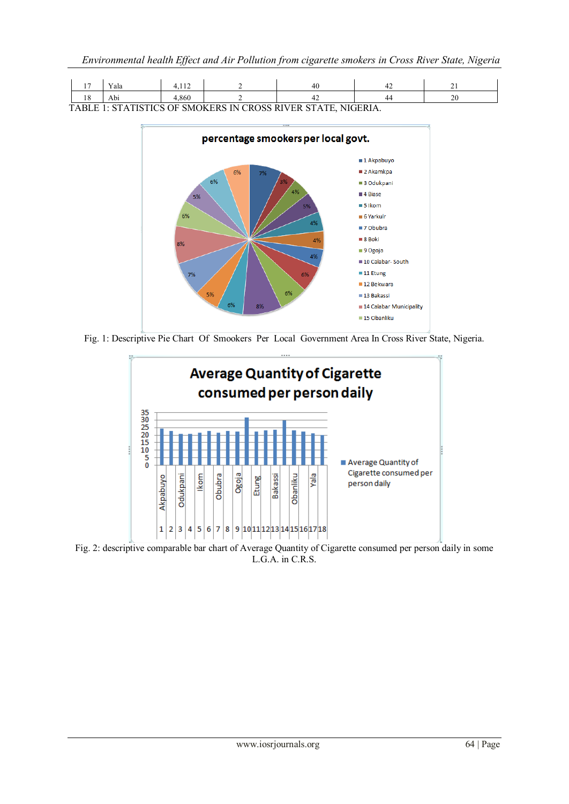|                                                                                                      | 1 <sub>7</sub>       | --<br>Y ala | 1 <sup>2</sup><br>. |  |  | . . |             |
|------------------------------------------------------------------------------------------------------|----------------------|-------------|---------------------|--|--|-----|-------------|
|                                                                                                      | 1 <sub>O</sub><br>10 | Abı         | .,860               |  |  |     | $\sim$<br>∼ |
| VTICTICS OF SMOKERS IN .<br>CROSS RIVER<br><b>STATE</b><br><b>NIGERIA</b><br>$\sim$<br>$T\Delta$ RI. |                      |             |                     |  |  |     |             |

TABLE 1: STATISTICS OF SMOKERS IN CROSS RIVER STATE, NIGERIA.



Fig. 1: Descriptive Pie Chart Of Smookers Per Local Government Area In Cross River State, Nigeria.



Fig. 2: descriptive comparable bar chart of Average Quantity of Cigarette consumed per person daily in some L.G.A. in C.R.S.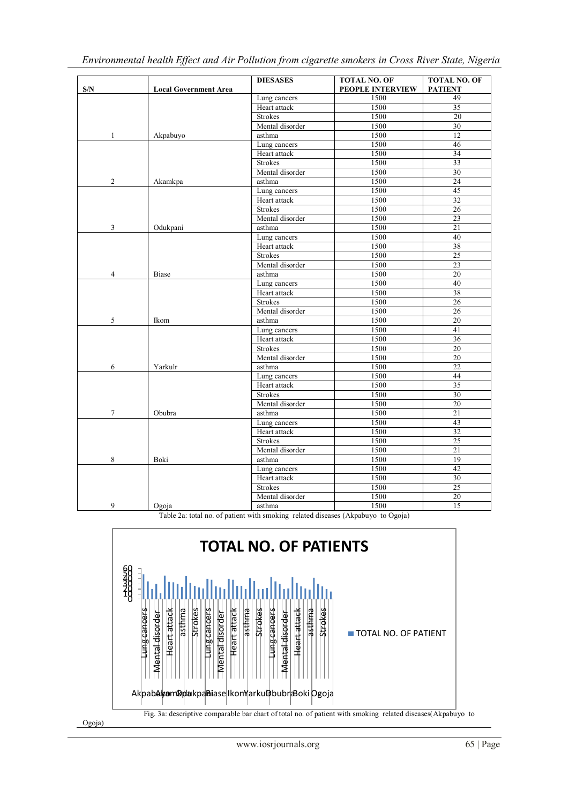| S/N                      | <b>Local Government Area</b> | <b>DIESASES</b> | <b>TOTAL NO. OF</b><br>PEOPLE INTERVIEW | <b>TOTAL NO. OF</b><br><b>PATIENT</b> |
|--------------------------|------------------------------|-----------------|-----------------------------------------|---------------------------------------|
|                          |                              | Lung cancers    | 1500                                    | 49                                    |
|                          |                              | Heart attack    | 1500                                    | 35                                    |
|                          |                              | <b>Strokes</b>  | 1500                                    | 20                                    |
|                          |                              | Mental disorder | 1500                                    | 30                                    |
| $\mathbf{1}$             | Akpabuyo                     | asthma          | 1500                                    | 12                                    |
|                          |                              | Lung cancers    | 1500                                    | 46                                    |
|                          |                              | Heart attack    | 1500                                    | $\overline{34}$                       |
|                          |                              | <b>Strokes</b>  | 1500                                    | 33                                    |
|                          |                              | Mental disorder | 1500                                    | 30                                    |
| $\overline{c}$           | Akamkpa                      | asthma          | 1500                                    | 24                                    |
|                          |                              | Lung cancers    | 1500                                    | 45                                    |
|                          |                              | Heart attack    | 1500                                    | $\overline{32}$                       |
|                          |                              | <b>Strokes</b>  | 1500                                    | 26                                    |
|                          |                              | Mental disorder | 1500                                    | 23                                    |
| 3                        | Odukpani                     | asthma          | 1500                                    | 21                                    |
|                          |                              | Lung cancers    | 1500                                    | 40                                    |
|                          |                              | Heart attack    | 1500                                    | 38                                    |
|                          |                              | <b>Strokes</b>  | 1500                                    | $\overline{25}$                       |
|                          |                              | Mental disorder | 1500                                    | $\overline{23}$                       |
| $\overline{4}$           | <b>Biase</b>                 | asthma          | 1500                                    | $20\,$                                |
|                          |                              | Lung cancers    | 1500                                    | 40                                    |
|                          |                              | Heart attack    | 1500                                    | 38                                    |
|                          |                              | <b>Strokes</b>  | 1500                                    | $\overline{26}$                       |
|                          |                              | Mental disorder | 1500                                    | 26                                    |
| 5                        | Ikom                         | asthma          | 1500                                    | 20                                    |
|                          |                              | Lung cancers    | 1500                                    | 41                                    |
|                          |                              | Heart attack    | 1500                                    | 36                                    |
|                          |                              | Strokes         | 1500                                    | $\overline{20}$                       |
|                          |                              | Mental disorder | 1500                                    | 20                                    |
| 6                        | Yarkulr                      | asthma          | 1500                                    | 22                                    |
|                          |                              | Lung cancers    | 1500                                    | 44                                    |
|                          |                              | Heart attack    | 1500                                    | 35                                    |
|                          |                              | <b>Strokes</b>  | 1500                                    | 30                                    |
|                          |                              | Mental disorder | 1500                                    | $\overline{20}$                       |
| $\overline{\mathcal{I}}$ | Obubra                       | asthma          | 1500                                    | $\overline{21}$                       |
|                          |                              | Lung cancers    | 1500                                    | 43                                    |
|                          |                              | Heart attack    | 1500                                    | 32                                    |
|                          |                              | Strokes         | 1500                                    | 25                                    |
|                          |                              | Mental disorder | 1500                                    | $\overline{21}$                       |
| 8                        | Boki                         | asthma          | 1500                                    | 19                                    |
|                          |                              | Lung cancers    | 1500                                    | 42                                    |
|                          |                              | Heart attack    | 1500                                    | 30                                    |
|                          |                              | <b>Strokes</b>  | 1500                                    | 25                                    |
|                          |                              | Mental disorder | 1500                                    | 20                                    |
| 9                        | Ogoja                        | asthma          | 1500                                    | $\overline{15}$                       |

Table 2a: total no. of patient with smoking related diseases (Akpabuyo to Ogoja)

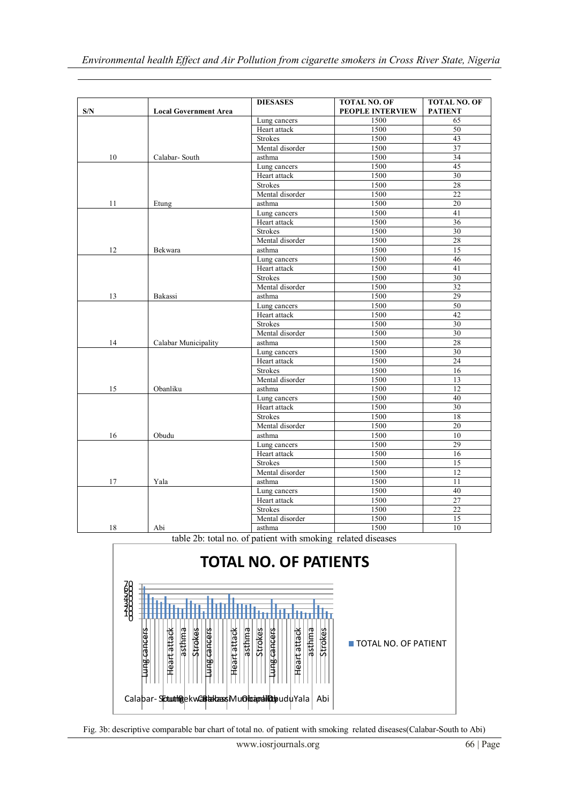| S/N | <b>Local Government Area</b> | <b>DIESASES</b> | <b>TOTAL NO. OF</b><br>PEOPLE INTERVIEW | <b>TOTAL NO. OF</b><br><b>PATIENT</b> |
|-----|------------------------------|-----------------|-----------------------------------------|---------------------------------------|
|     |                              | Lung cancers    | 1500                                    | 65                                    |
|     |                              | Heart attack    | 1500                                    | 50                                    |
|     |                              | <b>Strokes</b>  | 1500                                    | 43                                    |
|     |                              | Mental disorder | 1500                                    | 37                                    |
| 10  | Calabar-South                | asthma          | 1500                                    | 34                                    |
|     |                              | Lung cancers    | 1500                                    | 45                                    |
|     |                              | Heart attack    | 1500                                    | $\overline{30}$                       |
|     |                              | <b>Strokes</b>  | 1500                                    | 28                                    |
|     |                              | Mental disorder | 1500                                    | 22                                    |
| 11  | Etung                        | asthma          | 1500                                    | 20                                    |
|     |                              | Lung cancers    | 1500                                    | 41                                    |
|     |                              | Heart attack    | 1500                                    | 36                                    |
|     |                              | <b>Strokes</b>  | 1500                                    | 30                                    |
|     |                              | Mental disorder | 1500                                    | 28                                    |
| 12  | Bekwara                      | asthma          | 1500                                    | 15                                    |
|     |                              | Lung cancers    | 1500                                    | 46                                    |
|     |                              | Heart attack    | 1500                                    | 41                                    |
|     |                              | <b>Strokes</b>  | 1500                                    | 30                                    |
|     |                              | Mental disorder | 1500                                    | 32                                    |
| 13  | Bakassi                      | asthma          | 1500                                    | 29                                    |
|     |                              | Lung cancers    | 1500                                    | 50                                    |
|     |                              | Heart attack    | 1500                                    | 42                                    |
|     |                              | <b>Strokes</b>  | 1500                                    | 30                                    |
|     |                              | Mental disorder | 1500                                    | 30                                    |
| 14  | Calabar Municipality         | asthma          | 1500                                    | 28                                    |
|     |                              | Lung cancers    | 1500                                    | 30                                    |
|     |                              | Heart attack    | 1500                                    | 24                                    |
|     |                              | <b>Strokes</b>  | 1500                                    | 16                                    |
|     |                              | Mental disorder | 1500                                    | 13                                    |
| 15  | Obanliku                     | asthma          | 1500                                    | 12                                    |
|     |                              | Lung cancers    | 1500                                    | 40                                    |
|     |                              | Heart attack    | 1500                                    | 30                                    |
|     |                              | <b>Strokes</b>  | 1500                                    | 18                                    |
|     |                              | Mental disorder | 1500                                    | $20\,$                                |
| 16  | Obudu                        | asthma          | 1500                                    | 10                                    |
|     |                              | Lung cancers    | 1500                                    | 29                                    |
|     |                              | Heart attack    | 1500                                    | 16                                    |
|     |                              | <b>Strokes</b>  | 1500                                    | 15                                    |
|     |                              | Mental disorder | 1500                                    | 12                                    |
| 17  | Yala                         | asthma          | 1500                                    | $\overline{11}$                       |
|     |                              | Lung cancers    | 1500                                    | $40\,$                                |
|     |                              | Heart attack    | 1500                                    | 27                                    |
|     |                              | <b>Strokes</b>  | 1500                                    | $\overline{22}$                       |
|     |                              | Mental disorder | 1500                                    | 15                                    |
| 18  | Abi                          | asthma          | 1500                                    | 10                                    |

table 2b: total no. of patient with smoking related diseases



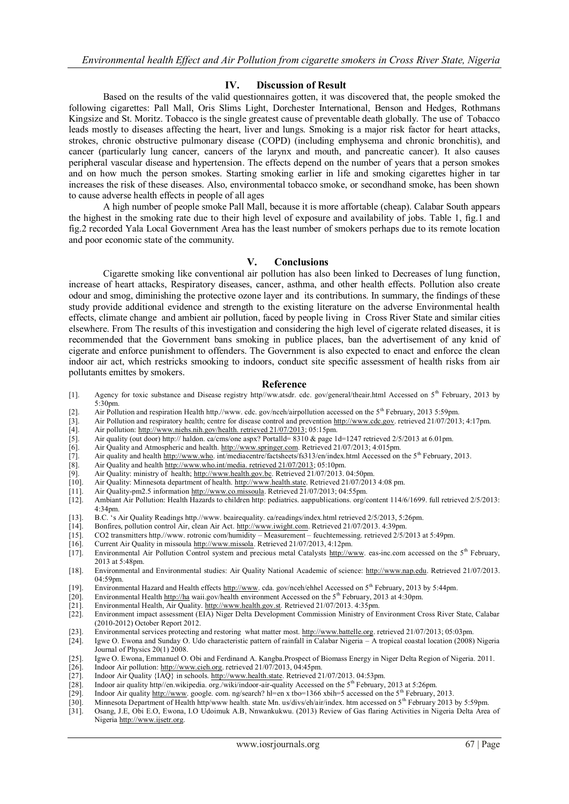### **IV. Discussion of Result**

Based on the results of the valid questionnaires gotten, it was discovered that, the people smoked the following cigarettes: Pall Mall, Oris Slims Light, Dorchester International, Benson and Hedges, Rothmans Kingsize and St. Moritz. Tobacco is the single greatest cause of preventable death globally. The use of Tobacco leads mostly to diseases affecting the heart, liver and lungs. Smoking is a major risk factor for [heart attacks,](http://en.wikipedia.org/wiki/Myocardial_infarction) [strokes,](http://en.wikipedia.org/wiki/Stroke) [chronic obstructive pulmonary disease](http://en.wikipedia.org/wiki/Chronic_obstructive_pulmonary_disease) (COPD) (including [emphysema](http://en.wikipedia.org/wiki/Emphysema) and [chronic bronchitis\)](http://en.wikipedia.org/wiki/Chronic_bronchitis), and [cancer](http://en.wikipedia.org/wiki/Cancer) (particularly [lung cancer,](http://en.wikipedia.org/wiki/Lung_cancer) [cancers of the larynx and mouth,](http://en.wikipedia.org/wiki/Laryngeal_cancer) and [pancreatic cancer\)](http://en.wikipedia.org/wiki/Pancreatic_cancer). It also causes peripheral vascular disease and [hypertension.](http://en.wikipedia.org/wiki/Hypertension) The effects depend on the number of years that a person smokes and on how much the person smokes. Starting smoking earlier in life and smoking cigarettes higher in [tar](http://en.wikipedia.org/wiki/Tar_%28tobacco_residue%29)  increases the risk of these diseases. Also, environmental tobacco smoke, or secondhand smoke, has been shown to cause adverse health effects in people of all ages

A high number of people smoke Pall Mall, because it is more affortable (cheap). Calabar South appears the highest in the smoking rate due to their high level of exposure and availability of jobs. Table 1, fig.1 and fig.2 recorded Yala Local Government Area has the least number of smokers perhaps due to its remote location and poor economic state of the community.

# **V. Conclusions**

Cigarette smoking like conventional air pollution has also been linked to Decreases of lung function, increase of heart attacks, Respiratory diseases, cancer, asthma, and other health effects. Pollution also create odour and smog, diminishing the protective ozone layer and its contributions. In summary, the findings of these study provide additional evidence and strength to the existing literature on the adverse Environmental health effects, climate change and ambient air pollution, faced by people living in Cross River State and similar cities elsewhere. From The results of this investigation and considering the high level of cigerate related diseases, it is recommended that the Government bans smoking in publice places, ban the advertisement of any knid of cigerate and enforce punishment to offenders. The Government is also expected to enact and enforce the clean indoor air act, which restricks smooking to indoors, conduct site specific assessment of health risks from air pollutants emittes by smokers.

#### **Reference**

- [1]. Agency for toxic substance and Disease registry http//ww.atsdr. cdc. gov/general/theair.html Accessed on 5<sup>th</sup> February, 2013 by 5:30pm.
- [2]. Air Pollution and respiration Health http.//www. cdc. gov/nceh/airpollution accessed on the 5th February, 2013 5:59pm.
- [3]. Air Pollution and respiratory health; centre for disease control and preventio[n http://www.cdc.gov.](http://www.cdc.gov/) retrieved 21/07/2013; 4:17pm.
- 
- [4]. Air pollution: [http://www.niehs.nih.gov/health. retrieved 21/07/2013;](http://www.niehs.nih.gov/health.%20retrieved%2021/07/2013) 05:15pm.<br>[5]. Air quality (out door) http:// haldon. ca/cms/one aspx? Portalld= 8310 & page 1 [5]. Air quality (out door) http:// haldon. ca/cms/one aspx? Portalld=  $8310$  & page 1d=1247 retrieved 2/5/2013 at 6.01pm. [6]. Air Quality and Atmospheric and health. http://www.springer.com. Retrieved 21/07/2013; 4:015p
- 
- [6]. Air Quality and Atmospheric and health[. http://www.springer.com.](http://www.springer.com/) Retrieved 21/07/2013; 4:015pm. [7]. Air quality and health http://www.who. int/mediacentre/factsheets/fs313/en/index.html Accessed on [8]. Air Quality Air quality and healt[h http://www.who.](http://www.who/) int/mediacentre/factsheets/fs313/en/index.html Accessed on the 5<sup>th</sup> February, 2013.
- 
- [8]. Air Quality and health  $\frac{http://www.who.int/media. retrieved 21/07/2013}{http://www.health.gov.be. Retrieved 21/07/2013}$ . [9]. Air Quality: ministry of health; [http://www.health.gov.bc.](http://www.health.gov.bc/) Retrieved 21/07/2013. 04:50pm. [10]. Air Quality: Minnesota department of health. http://www.health.state. Retrieved 21/07/2013
- [10]. Air Quality: Minnesota department of health. [http://www.health.state.](http://www.health.state/) Retrieved 21/07/2013 4:08 pm.
- 
- [11]. Air Quality-pm2.5 informatio[n http://www.co.missoula.](http://www.co.missoula/) Retrieved 21/07/2013; 04:55pm. [12]. Ambiant Air Pollution: Health Hazards to children http: pediatrics. aappublications. org/c Ambiant Air Pollution: Health Hazards to children http: pediatrics. aappublications. org/content 114/6/1699. full retrieved 2/5/2013: 4:34pm.
- [13]. B.C. 's Air Quality Readings http.//www. bcairequality. ca/readings/index.html retrieved 2/5/2013, 5:26pm.
- [14]. Bonfires, pollution control Air, clean Air Act. [http://www.iwight.com.](http://www.iwight.com/) Retrieved 21/07/2013. 4:39pm.
- [15]. CO2 transmitters http.//www. rotronic com/humidity Measurement feuchtemessing. retrieved 2/5/2013 at 5:49pm.
- [16]. Current Air Quality in missoula [http://www.missola.](http://www.missola/) Retrieved 21/07/2013, 4:12pm.
- [17]. Environmental Air Pollution Control system and precious metal Catalysts [http://www.](http://www/) eas-inc.com accessed on the 5<sup>th</sup> February,  $2013$  at 5:48pm.
- [18]. Environmental and Environmental studies: Air Quality National Academic of science: [http://www.nap.edu.](http://www.nap.edu/) Retrieved 21/07/2013. 04:59pm.
- [19]. Environmental Hazard and Health effects http://www.cda. gov/nceh/ehhel Accessed on 5<sup>th</sup> February, 2013 by 5:44pm.
- [20]. Environmental Health [http://ha](http://ha/) waii.gov/health environment Accessed on the 5<sup>th</sup> February, 2013 at 4:30pm.<br>[21]. Environmental Health, Air Quality. http://www.health.gov.st. Retrieved 21/07/2013. 4:35pm.
- 
- [21]. Environmental Health, Air Quality[. http://www.health.gov.st.](http://www.health.gov.st/) Retrieved 21/07/2013. 4:35pm.<br>[22]. Environment impact assessment (EIA) Niger Delta Development Commission Ministry of E Environment impact assessment (EIA) Niger Delta Development Commission Ministry of Environment Cross River State, Calabar (2010-2012) October Report 2012.
- [23]. Environmental services protecting and restoring what matter most[. http://www.battelle.org.](http://www.battelle.org/) retrieved 21/07/2013; 05:03pm.<br>[24]. Igwe O. Ewona and Sunday O. Udo characteristic pattern of rainfall in Calabar Nigeria –
- [24]. Igwe O. Ewona and Sunday O. Udo characteristic pattern of rainfall in Calabar Nigeria A tropical coastal location (2008) Nigeria Journal of Physics 20(1) 2008.
- [25]. Igwe O. Ewona, Emmanuel O. Obi and Ferdinand A. Kangba.Prospect of Biomass Energy in Niger Delta Region of Nigeria. 2011.<br>[26]. Indoor Air pollution: http://www.cieh.org. retrieved 21/07/2013, 04:45pm.
- Indoor Air pollution[: http://www.cieh.org.](http://www.cieh.org/) retrieved 21/07/2013, 04:45pm.
- [27]. Indoor Air Quality {IAQ} in schools. [http://www.health.state.](http://www.health.state/) Retrieved 21/07/2013. 04:53pm.
- 
- [28]. Indoor air quality http//en.wikipedia.org./wiki/indoor-air-quality Accessed on the 5<sup>th</sup> February, 2013 at 5:26pm.<br>[29]. Indoor Air quality http://www.google.com.ng/search? hl=en x tbo=1366 xbih=5 accessed on the 5<sup></sup> Indoor Air qualit[y http://www.](http://www/) google. com. ng/search? hl=en x tbo=1366 xbih=5 accessed on the 5<sup>th</sup> February, 2013.
- [30]. Minnesota Department of Health http/www health. state Mn. us/divs/eh/air/index. htm accessed on 5th February 2013 by 5:59pm.
- [31]. Osang, J.E, Obi E.O, Ewona, I.O Udoimuk A.B, Nnwankukwu. (2013) Review of Gas flaring Activities in Nigeria Delta Area of Nigeria [http://www.ijsetr.org.](http://www.ijsetr.org/)